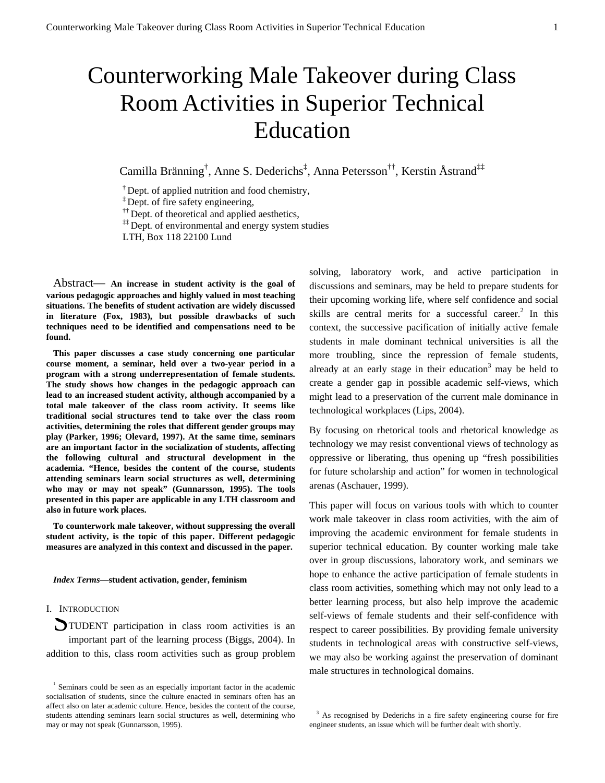# Counterworking Male Takeover during Class Room Activities in Superior Technical Education

Camilla Bränning† , Anne S. Dederichs‡ , Anna Petersson††, Kerstin Åstrand‡‡

<sup>†</sup> Dept. of applied nutrition and food chemistry,  $\frac{1}{x}$  Dept. of fire safety engineering,

 $\uparrow$ <sup>††</sup> Dept. of theoretical and applied aesthetics,

<sup>‡‡</sup> Dept. of environmental and energy system studies

LTH, Box 118 22100 Lund

Abstract— **An increase in student activity is the goal of various pedagogic approaches and highly valued in most teaching situations. The benefits of student activation are widely discussed in literature (Fox, 1983), but possible drawbacks of such techniques need to be identified and compensations need to be found.**

**This paper discusses a case study concerning one particular course moment, a seminar, held over a two-year period in a program with a strong underrepresentation of female students. The study shows how changes in the pedagogic approach can lead to an increased student activity, although accompanied by a total male takeover of the class room activity. It seems like traditional social structures tend to take over the class room activities, determining the roles that different gender groups may play (Parker, 1996; Olevard, 1997). At the same time, seminars are an important factor in the socialization of students, affecting the following cultural and structural development in the academia. "Hence, besides the content of the course, students attending seminars learn social structures as well, determining who may or may not speak" (Gunnarsson, 1995). The tools presented in this paper are applicable in any LTH classroom and also in future work places.** 

**To counterwork male takeover, without suppressing the overall student activity, is the topic of this paper. Different pedagogic measures are analyzed in this context and discussed in the paper.** 

#### *Index Terms***—student activation, gender, feminism**

# I. INTRODUCTION

**SYMIM ENTERNAL SET AND ADDRESS** TUDENT participation in class room activities is an important part of the learning process (Biggs, 2004). In addition to this, class room activities such as group problem solving, laboratory work, and active participation in discussions and seminars, may be held to prepare students for their upcoming working life, where self confidence and social skills are central merits for a successful career.<sup>[2](#page-0-0)</sup> In this context, the successive pacification of initially active female students in male dominant technical universities is all the more troubling, since the repression of female students, already at an early stage in their education<sup>[3](#page-0-1)</sup> may be held to create a gender gap in possible academic self-views, which might lead to a preservation of the current male dominance in technological workplaces (Lips, 2004).

By focusing on rhetorical tools and rhetorical knowledge as technology we may resist conventional views of technology as oppressive or liberating, thus opening up "fresh possibilities for future scholarship and action" for women in technological arenas (Aschauer, 1999).

This paper will focus on various tools with which to counter work male takeover in class room activities, with the aim of improving the academic environment for female students in superior technical education. By counter working male take over in group discussions, laboratory work, and seminars we hope to enhance the active participation of female students in class room activities, something which may not only lead to a better learning process, but also help improve the academic self-views of female students and their self-confidence with respect to career possibilities. By providing female university students in technological areas with constructive self-views, we may also be working against the preservation of dominant male structures in technological domains.

<sup>&</sup>lt;sup>1</sup> Seminars could be seen as an especially important factor in the academic socialisation of students, since the culture enacted in seminars often has an affect also on later academic culture. Hence, besides the content of the course, students attending seminars learn social structures as well, determining who may or may not speak (Gunnarsson, 1995).

<span id="page-0-1"></span><span id="page-0-0"></span> $3$  As recognised by Dederichs in a fire safety engineering course for fire engineer students, an issue which will be further dealt with shortly.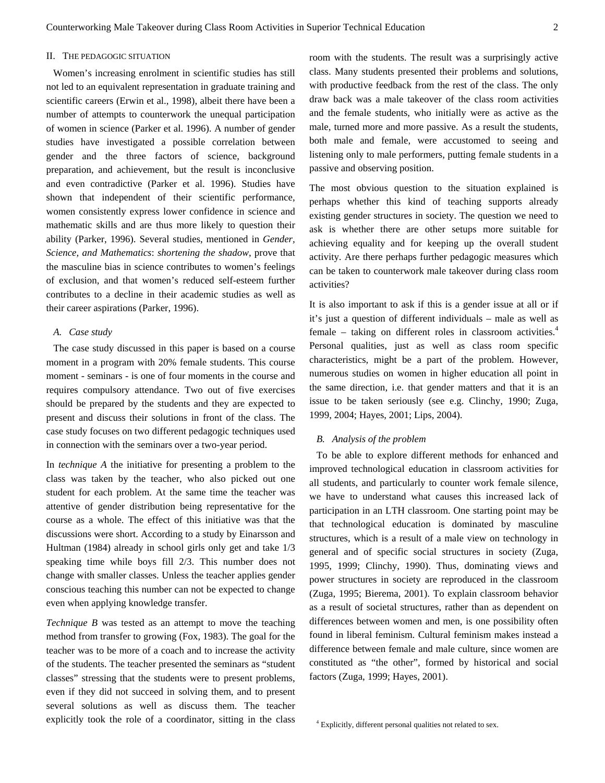#### II. THE PEDAGOGIC SITUATION

Women's increasing enrolment in scientific studies has still not led to an equivalent representation in graduate training and scientific careers (Erwin et al., 1998), albeit there have been a number of attempts to counterwork the unequal participation of women in science (Parker et al. 1996). A number of gender studies have investigated a possible correlation between gender and the three factors of science, background preparation, and achievement, but the result is inconclusive and even contradictive (Parker et al. 1996). Studies have shown that independent of their scientific performance, women consistently express lower confidence in science and mathematic skills and are thus more likely to question their ability (Parker, 1996). Several studies, mentioned in *Gender, Science, and Mathematics*: *shortening the shadow*, prove that the masculine bias in science contributes to women's feelings of exclusion, and that women's reduced self-esteem further contributes to a decline in their academic studies as well as their career aspirations (Parker, 1996).

# *A. Case study*

The case study discussed in this paper is based on a course moment in a program with 20% female students. This course moment - seminars - is one of four moments in the course and requires compulsory attendance. Two out of five exercises should be prepared by the students and they are expected to present and discuss their solutions in front of the class. The case study focuses on two different pedagogic techniques used in connection with the seminars over a two-year period.

In *technique A* the initiative for presenting a problem to the class was taken by the teacher, who also picked out one student for each problem. At the same time the teacher was attentive of gender distribution being representative for the course as a whole. The effect of this initiative was that the discussions were short. According to a study by Einarsson and Hultman (1984) already in school girls only get and take 1/3 speaking time while boys fill 2/3. This number does not change with smaller classes. Unless the teacher applies gender conscious teaching this number can not be expected to change even when applying knowledge transfer.

*Technique B* was tested as an attempt to move the teaching method from transfer to growing (Fox, 1983). The goal for the teacher was to be more of a coach and to increase the activity of the students. The teacher presented the seminars as "student classes" stressing that the students were to present problems, even if they did not succeed in solving them, and to present several solutions as well as discuss them. The teacher explicitly took the role of a coordinator, sitting in the class room with the students. The result was a surprisingly active class. Many students presented their problems and solutions, with productive feedback from the rest of the class. The only draw back was a male takeover of the class room activities and the female students, who initially were as active as the male, turned more and more passive. As a result the students, both male and female, were accustomed to seeing and listening only to male performers, putting female students in a passive and observing position.

The most obvious question to the situation explained is perhaps whether this kind of teaching supports already existing gender structures in society. The question we need to ask is whether there are other setups more suitable for achieving equality and for keeping up the overall student activity. Are there perhaps further pedagogic measures which can be taken to counterwork male takeover during class room activities?

It is also important to ask if this is a gender issue at all or if it's just a question of different individuals – male as well as female – taking on different roles in classroom activities. $4$ Personal qualities, just as well as class room specific characteristics, might be a part of the problem. However, numerous studies on women in higher education all point in the same direction, i.e. that gender matters and that it is an issue to be taken seriously (see e.g. Clinchy, 1990; Zuga, 1999, 2004; Hayes, 2001; Lips, 2004).

## *B. Analysis of the problem*

To be able to explore different methods for enhanced and improved technological education in classroom activities for all students, and particularly to counter work female silence, we have to understand what causes this increased lack of participation in an LTH classroom. One starting point may be that technological education is dominated by masculine structures, which is a result of a male view on technology in general and of specific social structures in society (Zuga, 1995, 1999; Clinchy, 1990). Thus, dominating views and power structures in society are reproduced in the classroom (Zuga, 1995; Bierema, 2001). To explain classroom behavior as a result of societal structures, rather than as dependent on differences between women and men, is one possibility often found in liberal feminism. Cultural feminism makes instead a difference between female and male culture, since women are constituted as "the other", formed by historical and social factors (Zuga, 1999; Hayes, 2001).

<span id="page-1-0"></span><sup>4</sup> Explicitly, different personal qualities not related to sex.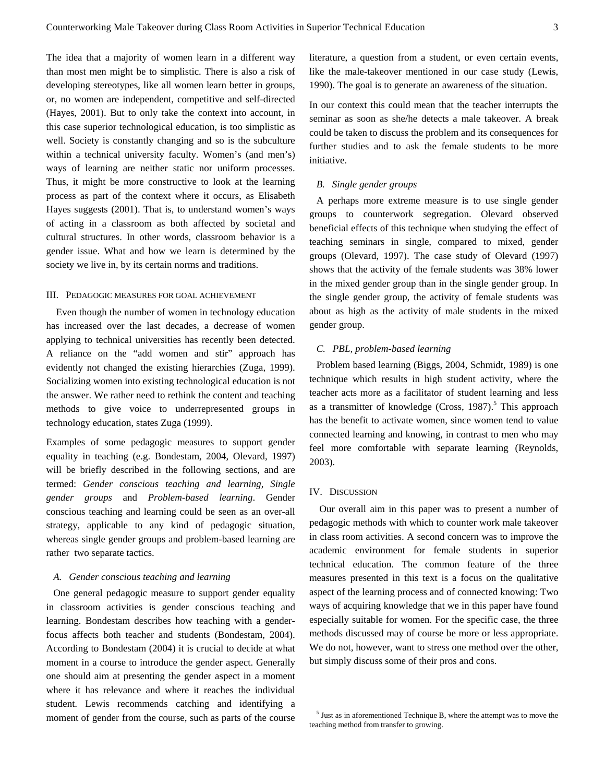The idea that a majority of women learn in a different way than most men might be to simplistic. There is also a risk of developing stereotypes, like all women learn better in groups, or, no women are independent, competitive and self-directed (Hayes, 2001). But to only take the context into account, in this case superior technological education, is too simplistic as well. Society is constantly changing and so is the subculture within a technical university faculty. Women's (and men's) ways of learning are neither static nor uniform processes. Thus, it might be more constructive to look at the learning process as part of the context where it occurs, as Elisabeth Hayes suggests (2001). That is, to understand women's ways of acting in a classroom as both affected by societal and cultural structures. In other words, classroom behavior is a gender issue. What and how we learn is determined by the society we live in, by its certain norms and traditions.

### III. PEDAGOGIC MEASURES FOR GOAL ACHIEVEMENT

Even though the number of women in technology education has increased over the last decades, a decrease of women applying to technical universities has recently been detected. A reliance on the "add women and stir" approach has evidently not changed the existing hierarchies (Zuga, 1999). Socializing women into existing technological education is not the answer. We rather need to rethink the content and teaching methods to give voice to underrepresented groups in technology education, states Zuga (1999).

Examples of some pedagogic measures to support gender equality in teaching (e.g. Bondestam, 2004, Olevard, 1997) will be briefly described in the following sections, and are termed: *Gender conscious teaching and learning*, *Single gender groups* and *Problem-based learning*. Gender conscious teaching and learning could be seen as an over-all strategy, applicable to any kind of pedagogic situation, whereas single gender groups and problem-based learning are rather two separate tactics.

## *A. Gender conscious teaching and learning*

One general pedagogic measure to support gender equality in classroom activities is gender conscious teaching and learning. Bondestam describes how teaching with a genderfocus affects both teacher and students (Bondestam, 2004). According to Bondestam (2004) it is crucial to decide at what moment in a course to introduce the gender aspect. Generally one should aim at presenting the gender aspect in a moment where it has relevance and where it reaches the individual student. Lewis recommends catching and identifying a moment of gender from the course, such as parts of the course

literature, a question from a student, or even certain events, like the male-takeover mentioned in our case study (Lewis, 1990). The goal is to generate an awareness of the situation.

In our context this could mean that the teacher interrupts the seminar as soon as she/he detects a male takeover. A break could be taken to discuss the problem and its consequences for further studies and to ask the female students to be more initiative.

## *B. Single gender groups*

A perhaps more extreme measure is to use single gender groups to counterwork segregation. Olevard observed beneficial effects of this technique when studying the effect of teaching seminars in single, compared to mixed, gender groups (Olevard, 1997). The case study of Olevard (1997) shows that the activity of the female students was 38% lower in the mixed gender group than in the single gender group. In the single gender group, the activity of female students was about as high as the activity of male students in the mixed gender group.

#### *C. PBL, problem-based learning*

Problem based learning (Biggs, 2004, Schmidt, 1989) is one technique which results in high student activity, where the teacher acts more as a facilitator of student learning and less as a transmitter of knowledge (Cross,  $1987$ ).<sup>[5](#page-2-0)</sup> This approach has the benefit to activate women, since women tend to value connected learning and knowing, in contrast to men who may feel more comfortable with separate learning (Reynolds, 2003).

#### IV. DISCUSSION

Our overall aim in this paper was to present a number of pedagogic methods with which to counter work male takeover in class room activities. A second concern was to improve the academic environment for female students in superior technical education. The common feature of the three measures presented in this text is a focus on the qualitative aspect of the learning process and of connected knowing: Two ways of acquiring knowledge that we in this paper have found especially suitable for women. For the specific case, the three methods discussed may of course be more or less appropriate. We do not, however, want to stress one method over the other, but simply discuss some of their pros and cons.

<span id="page-2-0"></span><sup>&</sup>lt;sup>5</sup> Just as in aforementioned Technique B, where the attempt was to move the teaching method from transfer to growing.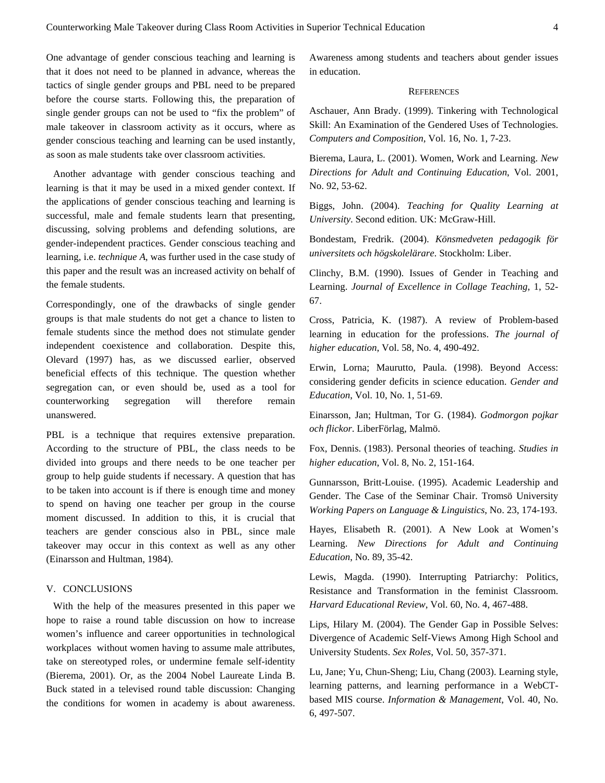One advantage of gender conscious teaching and learning is that it does not need to be planned in advance, whereas the tactics of single gender groups and PBL need to be prepared before the course starts. Following this, the preparation of single gender groups can not be used to "fix the problem" of male takeover in classroom activity as it occurs, where as gender conscious teaching and learning can be used instantly, as soon as male students take over classroom activities.

Another advantage with gender conscious teaching and learning is that it may be used in a mixed gender context. If the applications of gender conscious teaching and learning is successful, male and female students learn that presenting, discussing, solving problems and defending solutions, are gender-independent practices. Gender conscious teaching and learning, i.e. *technique A*, was further used in the case study of this paper and the result was an increased activity on behalf of the female students.

Correspondingly, one of the drawbacks of single gender groups is that male students do not get a chance to listen to female students since the method does not stimulate gender independent coexistence and collaboration. Despite this, Olevard (1997) has, as we discussed earlier, observed beneficial effects of this technique. The question whether segregation can, or even should be, used as a tool for counterworking segregation will therefore remain unanswered.

PBL is a technique that requires extensive preparation. According to the structure of PBL, the class needs to be divided into groups and there needs to be one teacher per group to help guide students if necessary. A question that has to be taken into account is if there is enough time and money to spend on having one teacher per group in the course moment discussed. In addition to this, it is crucial that teachers are gender conscious also in PBL, since male takeover may occur in this context as well as any other (Einarsson and Hultman, 1984).

#### V. CONCLUSIONS

With the help of the measures presented in this paper we hope to raise a round table discussion on how to increase women's influence and career opportunities in technological workplaces without women having to assume male attributes, take on stereotyped roles, or undermine female self-identity (Bierema, 2001). Or, as the 2004 Nobel Laureate Linda B. Buck stated in a televised round table discussion: Changing the conditions for women in academy is about awareness. Awareness among students and teachers about gender issues in education.

#### **REFERENCES**

Aschauer, Ann Brady. (1999). Tinkering with Technological Skill: An Examination of the Gendered Uses of Technologies. *Computers and Composition*, Vol. 16, No. 1, 7-23.

Bierema, Laura, L. (2001). Women, Work and Learning. *New Directions for Adult and Continuing Education*, Vol. 2001, No. 92, 53-62.

Biggs, John. (2004). *Teaching for Quality Learning at University*. Second edition. UK: McGraw-Hill.

Bondestam, Fredrik. (2004). *Könsmedveten pedagogik för universitets och högskolelärare*. Stockholm: Liber.

Clinchy, B.M. (1990). Issues of Gender in Teaching and Learning. *Journal of Excellence in Collage Teaching*, 1, 52- 67.

Cross, Patricia, K. (1987). A review of Problem-based learning in education for the professions. *The journal of higher education*, Vol. 58, No. 4, 490-492.

Erwin, Lorna; Maurutto, Paula. (1998). Beyond Access: considering gender deficits in science education. *Gender and Education*, Vol. 10, No. 1, 51-69.

Einarsson, Jan; Hultman, Tor G. (1984). *Godmorgon pojkar och flickor*. LiberFörlag, Malmö.

Fox, Dennis. (1983). Personal theories of teaching. *Studies in higher education*, Vol. 8, No. 2, 151-164.

Gunnarsson, Britt-Louise. (1995). Academic Leadership and Gender. The Case of the Seminar Chair. Tromsö University *Working Papers on Language & Linguistics*, No. 23, 174-193.

Hayes, Elisabeth R. (2001). A New Look at Women's Learning. *New Directions for Adult and Continuing Education*, No. 89, 35-42.

Lewis, Magda. (1990). Interrupting Patriarchy: Politics, Resistance and Transformation in the feminist Classroom. *Harvard Educational Review*, Vol. 60, No. 4, 467-488.

Lips, Hilary M. (2004). The Gender Gap in Possible Selves: Divergence of Academic Self-Views Among High School and University Students. *Sex Roles*, Vol. 50, 357-371.

Lu, Jane; Yu, Chun-Sheng; Liu, Chang (2003). Learning style, learning patterns, and learning performance in a WebCTbased MIS course. *Information & Management*, Vol. 40, No. 6, 497-507.